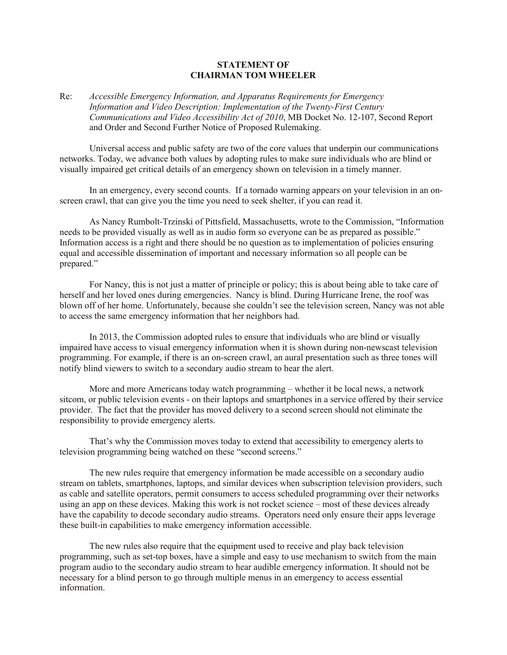## **STATEMENT OF CHAIRMAN TOM WHEELER**

## Re: *Accessible Emergency Information, and Apparatus Requirements for Emergency Information and Video Description: Implementation of the Twenty-First Century Communications and Video Accessibility Act of 2010*, MB Docket No. 12-107, Second Report and Order and Second Further Notice of Proposed Rulemaking.

Universal access and public safety are two of the core values that underpin our communications networks. Today, we advance both values by adopting rules to make sure individuals who are blind or visually impaired get critical details of an emergency shown on television in a timely manner.

In an emergency, every second counts. If a tornado warning appears on your television in an onscreen crawl, that can give you the time you need to seek shelter, if you can read it.

As Nancy Rumbolt-Trzinski of Pittsfield, Massachusetts, wrote to the Commission, "Information needs to be provided visually as well as in audio form so everyone can be as prepared as possible." Information access is a right and there should be no question as to implementation of policies ensuring equal and accessible dissemination of important and necessary information so all people can be prepared."

For Nancy, this is not just a matter of principle or policy; this is about being able to take care of herself and her loved ones during emergencies. Nancy is blind. During Hurricane Irene, the roof was blown off of her home. Unfortunately, because she couldn't see the television screen, Nancy was not able to access the same emergency information that her neighbors had.

In 2013, the Commission adopted rules to ensure that individuals who are blind or visually impaired have access to visual emergency information when it is shown during non-newscast television programming. For example, if there is an on-screen crawl, an aural presentation such as three tones will notify blind viewers to switch to a secondary audio stream to hear the alert.

More and more Americans today watch programming – whether it be local news, a network sitcom, or public television events - on their laptops and smartphones in a service offered by their service provider. The fact that the provider has moved delivery to a second screen should not eliminate the responsibility to provide emergency alerts.

That's why the Commission moves today to extend that accessibility to emergency alerts to television programming being watched on these "second screens."

The new rules require that emergency information be made accessible on a secondary audio stream on tablets, smartphones, laptops, and similar devices when subscription television providers, such as cable and satellite operators, permit consumers to access scheduled programming over their networks using an app on these devices. Making this work is not rocket science – most of these devices already have the capability to decode secondary audio streams. Operators need only ensure their apps leverage these built-in capabilities to make emergency information accessible.

The new rules also require that the equipment used to receive and play back television programming, such as set-top boxes, have a simple and easy to use mechanism to switch from the main program audio to the secondary audio stream to hear audible emergency information. It should not be necessary for a blind person to go through multiple menus in an emergency to access essential information.